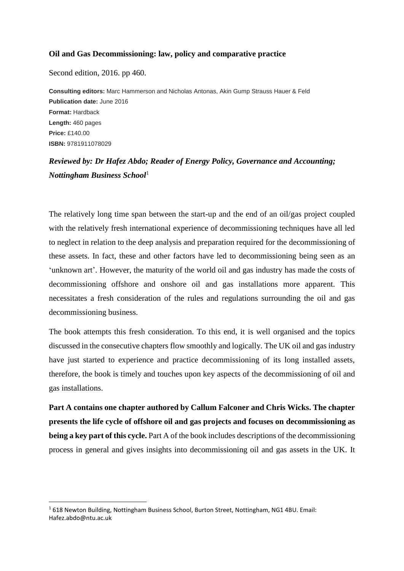## **Oil and Gas Decommissioning: law, policy and comparative practice**

Second edition, 2016. pp 460.

**.** 

**Consulting editors:** Marc Hammerson and Nicholas Antonas, Akin Gump Strauss Hauer & Feld **Publication date:** June 2016 **Format:** Hardback **Length:** 460 pages **Price:** £140.00 **ISBN:** 9781911078029

## *Reviewed by: Dr Hafez Abdo; Reader of Energy Policy, Governance and Accounting; Nottingham Business School*<sup>1</sup>

The relatively long time span between the start-up and the end of an oil/gas project coupled with the relatively fresh international experience of decommissioning techniques have all led to neglect in relation to the deep analysis and preparation required for the decommissioning of these assets. In fact, these and other factors have led to decommissioning being seen as an 'unknown art'. However, the maturity of the world oil and gas industry has made the costs of decommissioning offshore and onshore oil and gas installations more apparent. This necessitates a fresh consideration of the rules and regulations surrounding the oil and gas decommissioning business.

The book attempts this fresh consideration. To this end, it is well organised and the topics discussed in the consecutive chapters flow smoothly and logically. The UK oil and gas industry have just started to experience and practice decommissioning of its long installed assets, therefore, the book is timely and touches upon key aspects of the decommissioning of oil and gas installations.

**Part A contains one chapter authored by Callum Falconer and Chris Wicks. The chapter presents the life cycle of offshore oil and gas projects and focuses on decommissioning as being a key part of this cycle.** Part A of the book includes descriptions of the decommissioning process in general and gives insights into decommissioning oil and gas assets in the UK. It

<sup>1</sup> 618 Newton Building, Nottingham Business School, Burton Street, Nottingham, NG1 4BU. Email: Hafez.abdo@ntu.ac.uk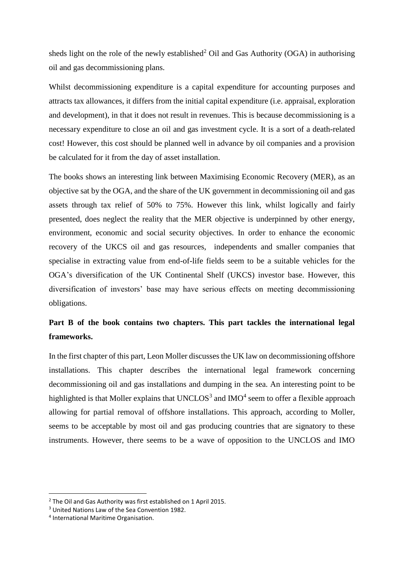sheds light on the role of the newly established<sup>2</sup> Oil and Gas Authority (OGA) in authorising oil and gas decommissioning plans.

Whilst decommissioning expenditure is a capital expenditure for accounting purposes and attracts tax allowances, it differs from the initial capital expenditure (i.e. appraisal, exploration and development), in that it does not result in revenues. This is because decommissioning is a necessary expenditure to close an oil and gas investment cycle. It is a sort of a death-related cost! However, this cost should be planned well in advance by oil companies and a provision be calculated for it from the day of asset installation.

The books shows an interesting link between Maximising Economic Recovery (MER), as an objective sat by the OGA, and the share of the UK government in decommissioning oil and gas assets through tax relief of 50% to 75%. However this link, whilst logically and fairly presented, does neglect the reality that the MER objective is underpinned by other energy, environment, economic and social security objectives. In order to enhance the economic recovery of the UKCS oil and gas resources, independents and smaller companies that specialise in extracting value from end-of-life fields seem to be a suitable vehicles for the OGA's diversification of the UK Continental Shelf (UKCS) investor base. However, this diversification of investors' base may have serious effects on meeting decommissioning obligations.

## **Part B of the book contains two chapters. This part tackles the international legal frameworks.**

In the first chapter of this part, Leon Moller discusses the UK law on decommissioning offshore installations. This chapter describes the international legal framework concerning decommissioning oil and gas installations and dumping in the sea. An interesting point to be highlighted is that Moller explains that  $UNCLOS<sup>3</sup>$  and  $IMO<sup>4</sup>$  seem to offer a flexible approach allowing for partial removal of offshore installations. This approach, according to Moller, seems to be acceptable by most oil and gas producing countries that are signatory to these instruments. However, there seems to be a wave of opposition to the UNCLOS and IMO

**.** 

<sup>&</sup>lt;sup>2</sup> The Oil and Gas Authority was first established on 1 April 2015.

<sup>3</sup> United Nations Law of the Sea Convention 1982.

<sup>4</sup> International Maritime Organisation.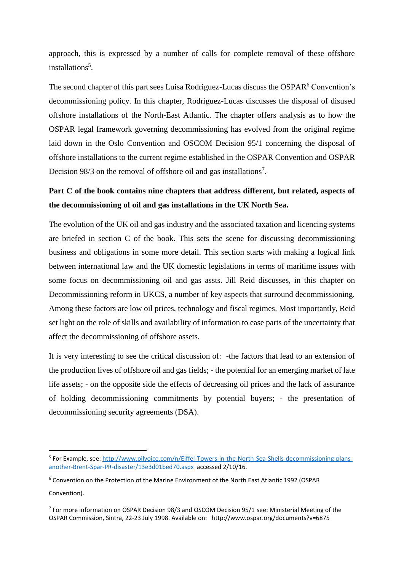approach, this is expressed by a number of calls for complete removal of these offshore installations<sup>5</sup>.

The second chapter of this part sees Luisa Rodriguez-Lucas discuss the OSPAR<sup>6</sup> Convention's decommissioning policy. In this chapter, Rodriguez-Lucas discusses the disposal of disused offshore installations of the North-East Atlantic. The chapter offers analysis as to how the OSPAR legal framework governing decommissioning has evolved from the original regime laid down in the Oslo Convention and OSCOM Decision 95/1 concerning the disposal of offshore installations to the current regime established in the OSPAR Convention and OSPAR Decision 98/3 on the removal of offshore oil and gas installations<sup>7</sup>.

## **Part C of the book contains nine chapters that address different, but related, aspects of the decommissioning of oil and gas installations in the UK North Sea.**

The evolution of the UK oil and gas industry and the associated taxation and licencing systems are briefed in section C of the book. This sets the scene for discussing decommissioning business and obligations in some more detail. This section starts with making a logical link between international law and the UK domestic legislations in terms of maritime issues with some focus on decommissioning oil and gas assts. Jill Reid discusses, in this chapter on Decommissioning reform in UKCS, a number of key aspects that surround decommissioning. Among these factors are low oil prices, technology and fiscal regimes. Most importantly, Reid set light on the role of skills and availability of information to ease parts of the uncertainty that affect the decommissioning of offshore assets.

It is very interesting to see the critical discussion of: -the factors that lead to an extension of the production lives of offshore oil and gas fields; - the potential for an emerging market of late life assets; - on the opposite side the effects of decreasing oil prices and the lack of assurance of holding decommissioning commitments by potential buyers; - the presentation of decommissioning security agreements (DSA).

1

<sup>&</sup>lt;sup>5</sup> For Example, see: [http://www.oilvoice.com/n/Eiffel-Towers-in-the-North-Sea-Shells-decommissioning-plans](http://www.oilvoice.com/n/Eiffel-Towers-in-the-North-Sea-Shells-decommissioning-plans-another-Brent-Spar-PR-disaster/13e3d01bed70.aspx)[another-Brent-Spar-PR-disaster/13e3d01bed70.aspx](http://www.oilvoice.com/n/Eiffel-Towers-in-the-North-Sea-Shells-decommissioning-plans-another-Brent-Spar-PR-disaster/13e3d01bed70.aspx) accessed 2/10/16.

<sup>6</sup> Convention on the Protection of the Marine [Environment](http://www.ospar.org/html_documents/ospar/html/OSPAR_Convention_e_updated_text_2007.pdf) of the North East Atlantic 1992 (OSPAR [Convention\).](http://www.ospar.org/html_documents/ospar/html/OSPAR_Convention_e_updated_text_2007.pdf)

<sup>&</sup>lt;sup>7</sup> For more information on OSPAR Decision 98/3 and OSCOM Decision 95/1 see: Ministerial Meeting of the OSPAR Commission, Sintra, 22-23 July 1998. Available on: http://www.ospar.org/documents?v=6875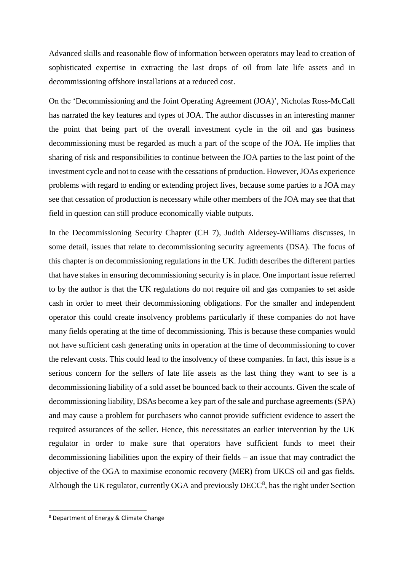Advanced skills and reasonable flow of information between operators may lead to creation of sophisticated expertise in extracting the last drops of oil from late life assets and in decommissioning offshore installations at a reduced cost.

On the 'Decommissioning and the Joint Operating Agreement (JOA)', Nicholas Ross-McCall has narrated the key features and types of JOA. The author discusses in an interesting manner the point that being part of the overall investment cycle in the oil and gas business decommissioning must be regarded as much a part of the scope of the JOA. He implies that sharing of risk and responsibilities to continue between the JOA parties to the last point of the investment cycle and not to cease with the cessations of production. However, JOAs experience problems with regard to ending or extending project lives, because some parties to a JOA may see that cessation of production is necessary while other members of the JOA may see that that field in question can still produce economically viable outputs.

In the Decommissioning Security Chapter (CH 7), Judith Aldersey-Williams discusses, in some detail, issues that relate to decommissioning security agreements (DSA). The focus of this chapter is on decommissioning regulations in the UK. Judith describes the different parties that have stakes in ensuring decommissioning security is in place. One important issue referred to by the author is that the UK regulations do not require oil and gas companies to set aside cash in order to meet their decommissioning obligations. For the smaller and independent operator this could create insolvency problems particularly if these companies do not have many fields operating at the time of decommissioning. This is because these companies would not have sufficient cash generating units in operation at the time of decommissioning to cover the relevant costs. This could lead to the insolvency of these companies. In fact, this issue is a serious concern for the sellers of late life assets as the last thing they want to see is a decommissioning liability of a sold asset be bounced back to their accounts. Given the scale of decommissioning liability, DSAs become a key part of the sale and purchase agreements (SPA) and may cause a problem for purchasers who cannot provide sufficient evidence to assert the required assurances of the seller. Hence, this necessitates an earlier intervention by the UK regulator in order to make sure that operators have sufficient funds to meet their decommissioning liabilities upon the expiry of their fields – an issue that may contradict the objective of the OGA to maximise economic recovery (MER) from UKCS oil and gas fields. Although the UK regulator, currently OGA and previously  $DEC<sup>8</sup>$ , has the right under Section

**.** 

<sup>8</sup> Department of Energy & Climate Change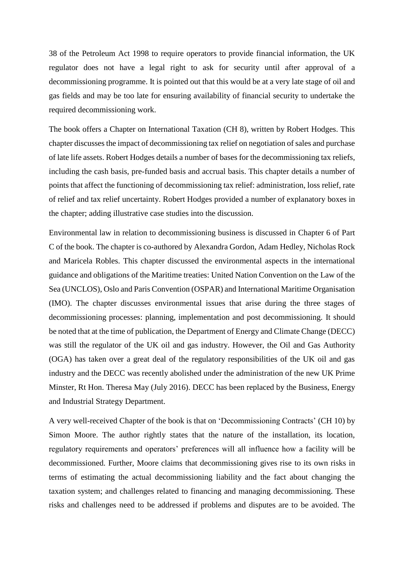38 of the Petroleum Act 1998 to require operators to provide financial information, the UK regulator does not have a legal right to ask for security until after approval of a decommissioning programme. It is pointed out that this would be at a very late stage of oil and gas fields and may be too late for ensuring availability of financial security to undertake the required decommissioning work.

The book offers a Chapter on International Taxation (CH 8), written by Robert Hodges. This chapter discusses the impact of decommissioning tax relief on negotiation of sales and purchase of late life assets. Robert Hodges details a number of bases for the decommissioning tax reliefs, including the cash basis, pre-funded basis and accrual basis. This chapter details a number of points that affect the functioning of decommissioning tax relief: administration, loss relief, rate of relief and tax relief uncertainty. Robert Hodges provided a number of explanatory boxes in the chapter; adding illustrative case studies into the discussion.

Environmental law in relation to decommissioning business is discussed in Chapter 6 of Part C of the book. The chapter is co-authored by Alexandra Gordon, Adam Hedley, Nicholas Rock and Maricela Robles. This chapter discussed the environmental aspects in the international guidance and obligations of the Maritime treaties: United Nation Convention on the Law of the Sea (UNCLOS), Oslo and Paris Convention (OSPAR) and International Maritime Organisation (IMO). The chapter discusses environmental issues that arise during the three stages of decommissioning processes: planning, implementation and post decommissioning. It should be noted that at the time of publication, the Department of Energy and Climate Change (DECC) was still the regulator of the UK oil and gas industry. However, the Oil and Gas Authority (OGA) has taken over a great deal of the regulatory responsibilities of the UK oil and gas industry and the DECC was recently abolished under the administration of the new UK Prime Minster, Rt Hon. Theresa May (July 2016). DECC has been replaced by the Business, Energy and Industrial Strategy Department.

A very well-received Chapter of the book is that on 'Decommissioning Contracts' (CH 10) by Simon Moore. The author rightly states that the nature of the installation, its location, regulatory requirements and operators' preferences will all influence how a facility will be decommissioned. Further, Moore claims that decommissioning gives rise to its own risks in terms of estimating the actual decommissioning liability and the fact about changing the taxation system; and challenges related to financing and managing decommissioning. These risks and challenges need to be addressed if problems and disputes are to be avoided. The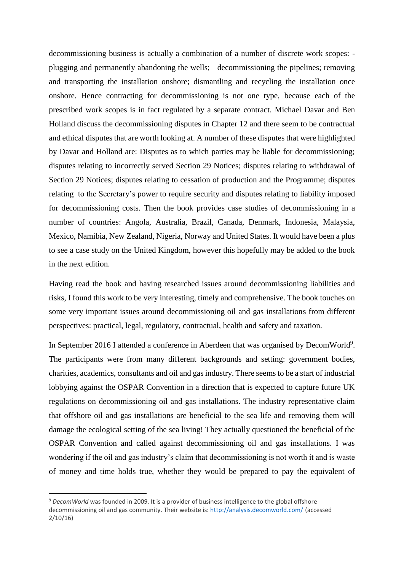decommissioning business is actually a combination of a number of discrete work scopes: plugging and permanently abandoning the wells; decommissioning the pipelines; removing and transporting the installation onshore; dismantling and recycling the installation once onshore. Hence contracting for decommissioning is not one type, because each of the prescribed work scopes is in fact regulated by a separate contract. Michael Davar and Ben Holland discuss the decommissioning disputes in Chapter 12 and there seem to be contractual and ethical disputes that are worth looking at. A number of these disputes that were highlighted by Davar and Holland are: Disputes as to which parties may be liable for decommissioning; disputes relating to incorrectly served Section 29 Notices; disputes relating to withdrawal of Section 29 Notices; disputes relating to cessation of production and the Programme; disputes relating to the Secretary's power to require security and disputes relating to liability imposed for decommissioning costs. Then the book provides case studies of decommissioning in a number of countries: Angola, Australia, Brazil, Canada, Denmark, Indonesia, Malaysia, Mexico, Namibia, New Zealand, Nigeria, Norway and United States. It would have been a plus to see a case study on the United Kingdom, however this hopefully may be added to the book in the next edition.

Having read the book and having researched issues around decommissioning liabilities and risks, I found this work to be very interesting, timely and comprehensive. The book touches on some very important issues around decommissioning oil and gas installations from different perspectives: practical, legal, regulatory, contractual, health and safety and taxation.

In September 2016 I attended a conference in Aberdeen that was organised by DecomWorld<sup>9</sup>. The participants were from many different backgrounds and setting: government bodies, charities, academics, consultants and oil and gas industry. There seems to be a start of industrial lobbying against the OSPAR Convention in a direction that is expected to capture future UK regulations on decommissioning oil and gas installations. The industry representative claim that offshore oil and gas installations are beneficial to the sea life and removing them will damage the ecological setting of the sea living! They actually questioned the beneficial of the OSPAR Convention and called against decommissioning oil and gas installations. I was wondering if the oil and gas industry's claim that decommissioning is not worth it and is waste of money and time holds true, whether they would be prepared to pay the equivalent of

**.** 

<sup>9</sup> *DecomWorld* was founded in 2009. It is a provider of business intelligence to the global offshore decommissioning oil and gas community. Their website is: <http://analysis.decomworld.com/> (accessed 2/10/16)